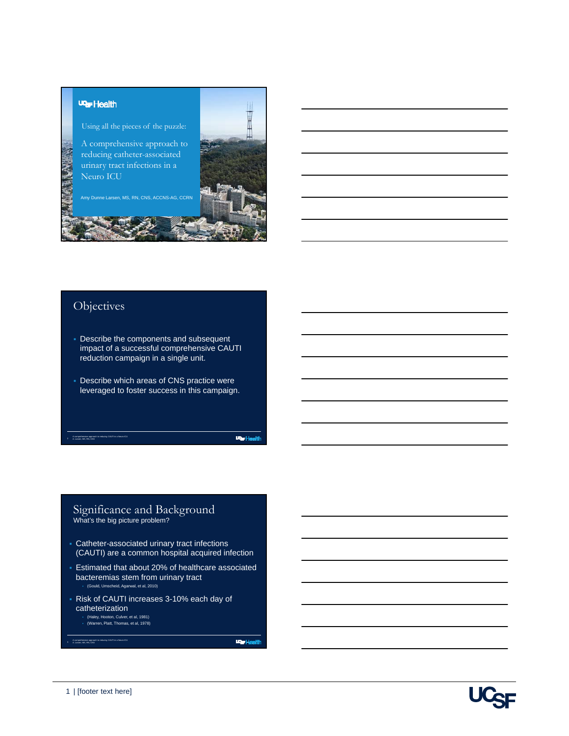#### **UGF** Health

Using all the pieces of the puzzle:

A comprehensive approach to reducing catheter-associated urinary tract infections in a Neuro ICU

Amy Dunne Larsen, MS, RN, CNS, ACCNS-AG, CCRN

## **Objectives**

A comprehensive approach to reducing CAUTI in a Neuro ICU A. Larsen, MS, RN, CNS

- Describe the components and subsequent impact of a successful comprehensive CAUTI reduction campaign in a single unit.
- Describe which areas of CNS practice were leveraged to foster success in this campaign.

**Particular** 

**III** H

#### Significance and Background What's the big picture problem?

- Catheter-associated urinary tract infections (CAUTI) are a common hospital acquired infection
- Estimated that about 20% of healthcare associated bacteremias stem from urinary tract (Gould, Umscheid, Agarwal, et al, 2010)
- Risk of CAUTI increases 3-10% each day of catheterization
	- (Haley, Hooton, Culver, et al, 1981) (Warren, Platt, Thomas, et al, 1978)

**Lear Health** 

A comprehensive approach to reducing CAUTI in a Neuro ICU A. Larsen, MS, RN, CNS

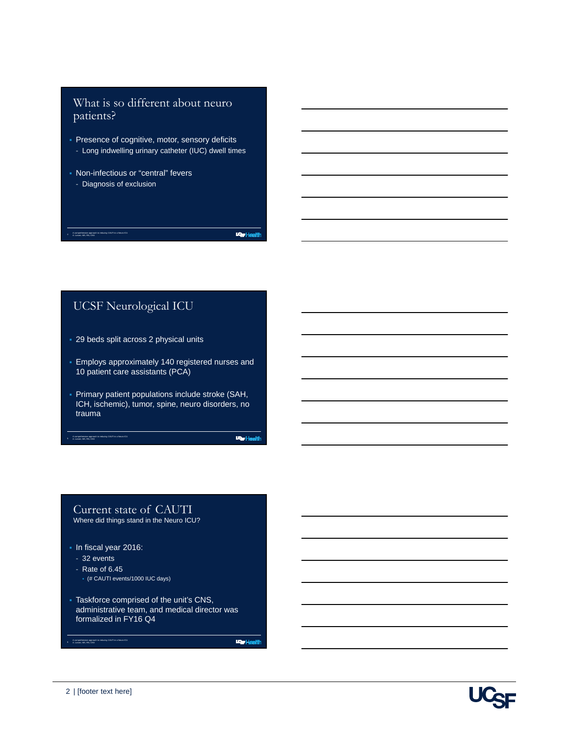## What is so different about neuro patients?

- **Presence of cognitive, motor, sensory deficits** - Long indwelling urinary catheter (IUC) dwell times
- Non-infectious or "central" fevers
	- Diagnosis of exclusion

A comprehensive approach to reducing CAUTI in a Neuro ICU A. Larsen, MS, RN, CNS

**WarHealth** 

## UCSF Neurological ICU

- 29 beds split across 2 physical units
- Employs approximately 140 registered nurses and 10 patient care assistants (PCA)
- Primary patient populations include stroke (SAH, ICH, ischemic), tumor, spine, neuro disorders, no trauma

**WarHealth** 

#### Current state of CAUTI Where did things stand in the Neuro ICU?

In fiscal year 2016:

- 32 events
- Rate of 6.45

5 A comprehensive approach to reducing CAUTI in a Neuro ICU A. Larsen, MS, RN, CNS

- (# CAUTI events/1000 IUC days)
- Taskforce comprised of the unit's CNS, administrative team, and medical director was formalized in FY16 Q4

**War Health** 

A comprehensive approach to reducing CAUTI in a Neuro ICU A. Larsen, MS, RN, CNS

6

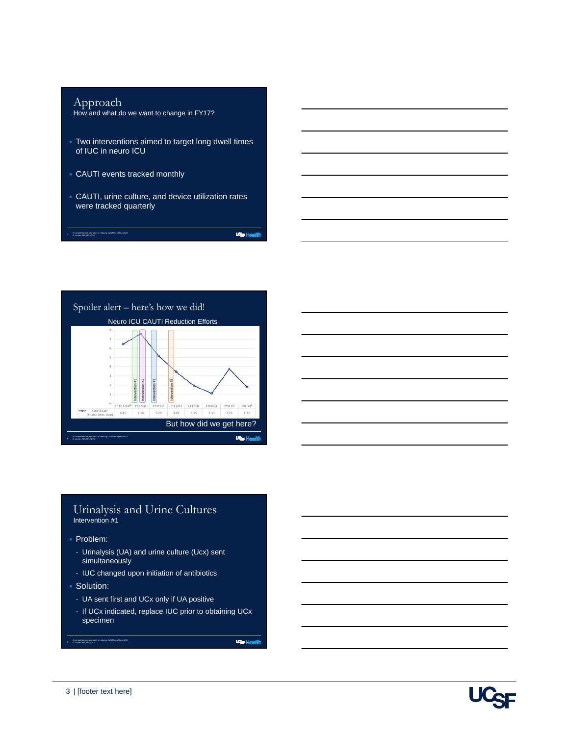## Approach

A comprehensive approach to reducing CAUTI in a Neuro ICU A. Larsen, MS, RN, CNS

How and what do we want to change in FY17?

- Two interventions aimed to target long dwell times of IUC in neuro ICU
- CAUTI events tracked monthly
- CAUTI, urine culture, and device utilization rates were tracked quarterly

**WarHealth** 





## Urinalysis and Urine Cultures Intervention #1

- Problem:
	- Urinalysis (UA) and urine culture (Ucx) sent simultaneously
	- IUC changed upon initiation of antibiotics
- **Solution:** 
	- UA sent first and UCx only if UA positive
	- If UCx indicated, replace IUC prior to obtaining UCx specimen

**War Health** 

A comprehensive approach to reducing CAUTI in a Neuro ICU A. Larsen, MS, RN, CNS

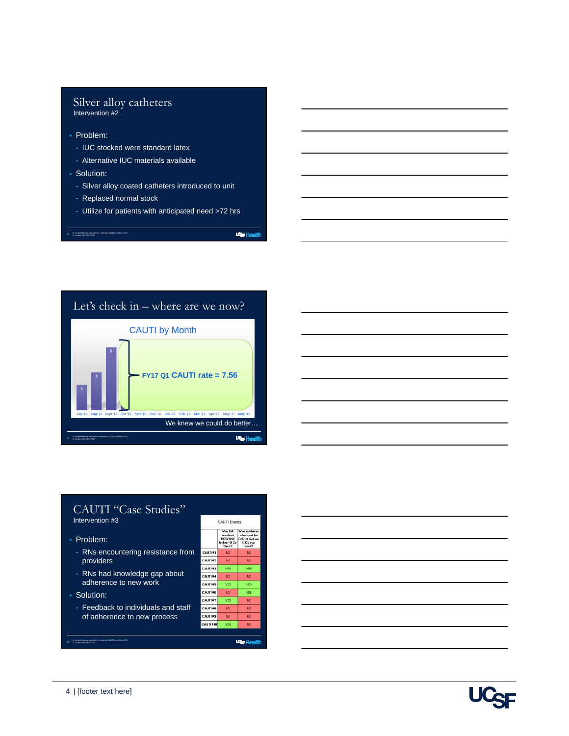#### Silver alloy catheters Intervention #2

- Problem:
	- IUC stocked were standard latex
	- Alternative IUC materials available
- Solution:
	- Silver alloy coated catheters introduced to unit
	- Replaced normal stock

A comprehensive approach to reducing CAUTI in a Neuro ICU A. Larsen, MS, RN, CNS

- Utilize for patients with anticipated need >72 hrs

warHealth





#### CAUTI "Case Studies" Intervention #3 CAUTI Events  $\begin{tabular}{l|c|c} \hline \textbf{Var} \, \textbf{UA} & \textbf{Var} \, \textbf{cath} \\ \textbf{reulated} & \textbf{changed} \\ \textbf{POSITIVE} & \textbf{DIC'd} & \textbf{bel} \\ \textbf{before U Cs} & \textbf{U Cs} \, \textbf{var} \\ \textbf{Sent?} & \textbf{sent?} \end{tabular}$  Problem: - RNs encountering resistance from CAUTI 01 CAUTI 62 providers CAUTI #3 ves - RNs had knowledge gap about CAUTI 04  $\overline{w}$ adherence to new work CAUTI OS YES YES CAUTI #6 NO. YES Solution: CAUTI OT YES - Feedback to individuals and staff CAUTI 00 of adherence to new process  $\overline{w}$ cauri es **CAUTI #10** YES **War Health** A comprehensive approach to reducing CAUTI in a Neuro ICU A. Larsen, MS, RN, CNS



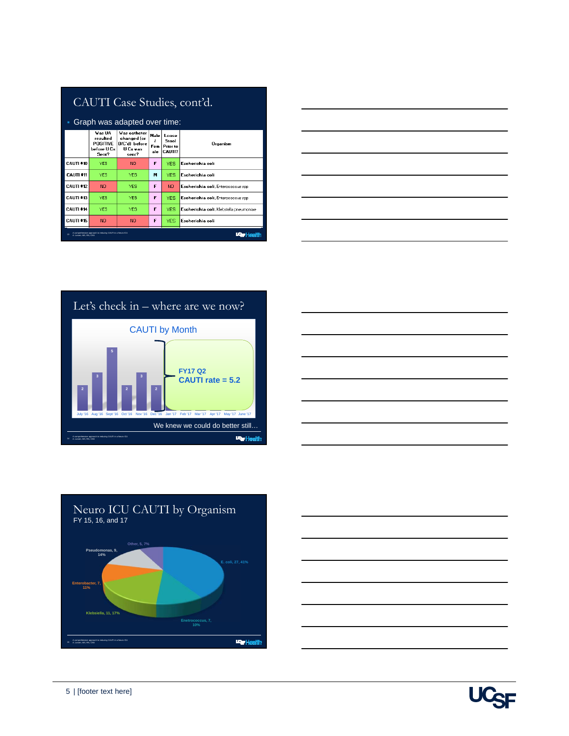# CAUTI Case Studies, cont'd.

| • Graph was adapted over time:                                                           |                                                                |                                                                                 |                    |                                      |                                         |
|------------------------------------------------------------------------------------------|----------------------------------------------------------------|---------------------------------------------------------------------------------|--------------------|--------------------------------------|-----------------------------------------|
|                                                                                          | Vas IIA<br>resulted<br><b>POSITIVE</b><br>before U Cx<br>Sent? | <b>Vas catheter</b><br>changed (or<br>DIC'd) before<br><b>U</b> Ca was<br>sent? | Male<br>Fem<br>ale | Loose<br>Stool<br>Prior to<br>CAUTI? | Organism                                |
| <b>CALITI #10</b>                                                                        | <b>YFS</b>                                                     | NO <sub>1</sub>                                                                 | F                  | <b>YES</b>                           | Escherichia coli                        |
| <b>CAUTI #11</b>                                                                         | <b>YES</b>                                                     | YES.                                                                            | м                  | <b>YES</b>                           | Escherichia coli                        |
| <b>CAUTI #12</b>                                                                         | <b>NO</b>                                                      | <b>YES</b>                                                                      | F                  | NO.                                  | Escherichia coli, Enterococcus spp      |
| <b>CAUTI *13</b>                                                                         | <b>YES</b>                                                     | <b>YES</b>                                                                      | F                  | <b>YES</b>                           | Escherichia coli, Enterococcus spp      |
| <b>CAUTI #14</b>                                                                         | <b>YES</b>                                                     | <b>YES</b>                                                                      | F                  | <b>YES</b>                           | Escherichia coli, Klebsiella pneumoniae |
| <b>CAUTI #15</b>                                                                         | <b>NO</b>                                                      | <b>NO</b>                                                                       | F                  | <b>YES</b>                           | Escherichia coli                        |
| A corrensherates approach to reducing CAUTI in a Neuro ICU<br>13<br>A 1 series MR BM CNR |                                                                |                                                                                 |                    |                                      |                                         |









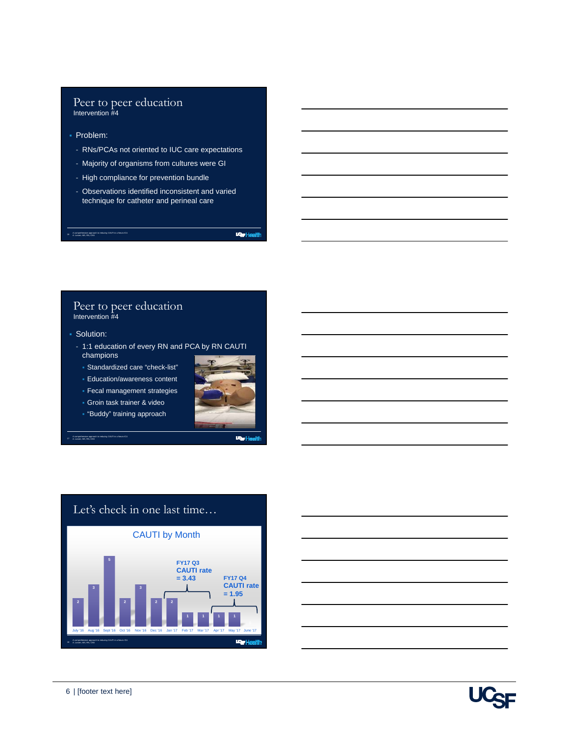#### Peer to peer education Intervention #4

- Problem:
	- RNs/PCAs not oriented to IUC care expectations
	- Majority of organisms from cultures were GI
	- High compliance for prevention bundle
	- Observations identified inconsistent and varied technique for catheter and perineal care

warHealth

#### Peer to peer education Intervention #4

Solution:

17 A comprehensive approach to reducing CAUTI in a Neuro ICU A. Larsen, MS, RN, CNS

A comprehensive approach to reducing CAUTI in a Neuro ICU A. Larsen, MS, RN, CNS

- 1:1 education of every RN and PCA by RN CAUTI champions
- Standardized care "check-list"
- Education/awareness content
- **Fecal management strategies**
- Groin task trainer & video
- "Buddy" training approach



**Par Health** 





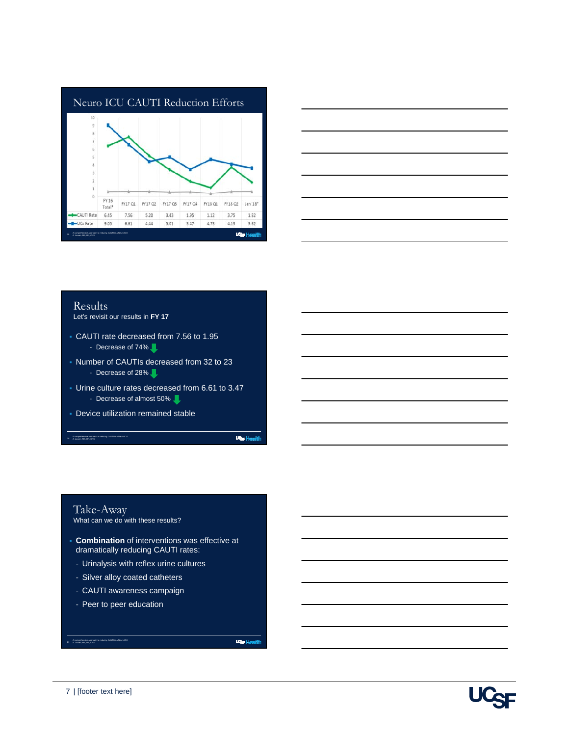



### Results

Let's revisit our results in **FY 17**

- CAUTI rate decreased from 7.56 to 1.95 - Decrease of 74%
- Number of CAUTIs decreased from 32 to 23 - Decrease of 28%.
- Urine culture rates decreased from 6.61 to 3.47 - Decrease of almost 50%
- Device utilization remained stable

**War Health** 

## Take-Away

20 A comprehensive approach to reducing CAUTI in a Neuro ICU A. Larsen, MS, RN, CNS

What can we do with these results?

- **Combination** of interventions was effective at dramatically reducing CAUTI rates:
	- Urinalysis with reflex urine cultures
	- Silver alloy coated catheters
	- CAUTI awareness campaign
	- Peer to peer education

**War Health** 



A comprehensive approach to reducing CAUTI in a Neuro ICU A. Larsen, MS, RN, CNS

21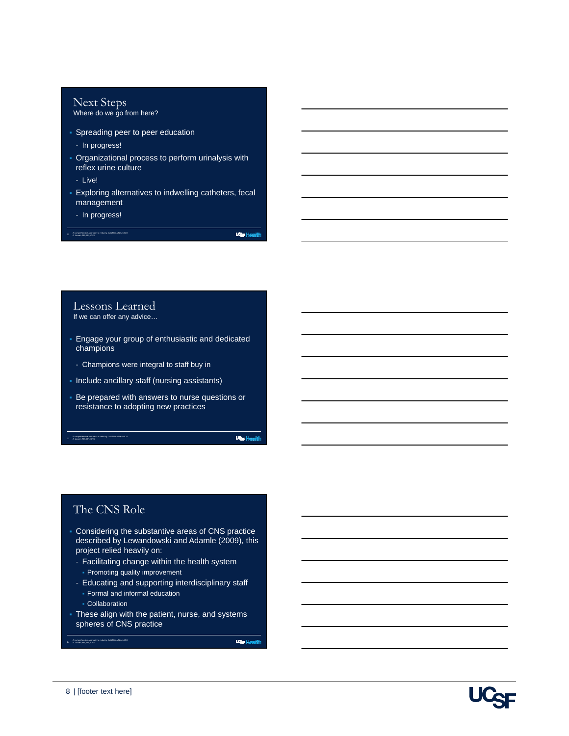# Next Steps

Where do we go from here?

- **Spreading peer to peer education** 
	- In progress!
- Organizational process to perform urinalysis with reflex urine culture
- Live!
- Exploring alternatives to indwelling catheters, fecal management
	- In progress!

A comprehensive approach to reducing CAUTI in a Neuro ICU A. Larsen, MS, RN, CNS

**WarHealth** 

## Lessons Learned

If we can offer any advice…

- Engage your group of enthusiastic and dedicated champions
- Champions were integral to staff buy in
- Include ancillary staff (nursing assistants)
- Be prepared with answers to nurse questions or resistance to adopting new practices

**Particular** 

## The CNS Role

23 A comprehensive approach to reducing CAUTI in a Neuro ICU A. Larsen, MS, RN, CNS

- Considering the substantive areas of CNS practice described by Lewandowski and Adamle (2009), this project relied heavily on:
	- Facilitating change within the health system Promoting quality improvement
	- Educating and supporting interdisciplinary staff Formal and informal education
		- Collaboration

A comprehensive approach to reducing CAUTI in a Neuro ICU A. Larsen, MS, RN, CNS

24

 These align with the patient, nurse, and systems spheres of CNS practice

**Lear Health**